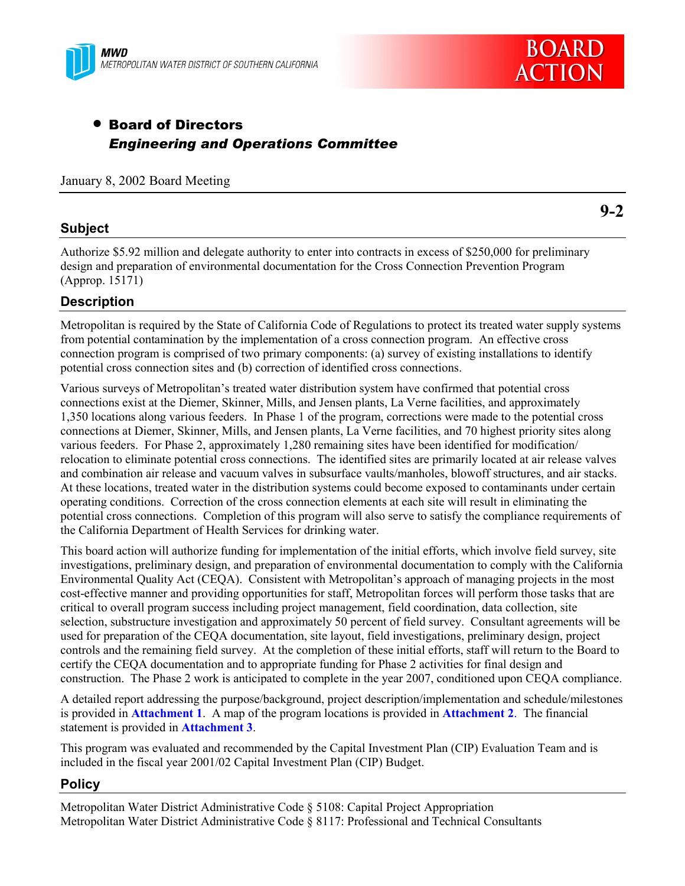



# • Board of Directors *Engineering and Operations Committee*

January 8, 2002 Board Meeting

### **Subject**

**9-2**

Authorize \$5.92 million and delegate authority to enter into contracts in excess of \$250,000 for preliminary design and preparation of environmental documentation for the Cross Connection Prevention Program (Approp. 15171)

### **Description**

Metropolitan is required by the State of California Code of Regulations to protect its treated water supply systems from potential contamination by the implementation of a cross connection program. An effective cross connection program is comprised of two primary components: (a) survey of existing installations to identify potential cross connection sites and (b) correction of identified cross connections.

Various surveys of Metropolitanís treated water distribution system have confirmed that potential cross connections exist at the Diemer, Skinner, Mills, and Jensen plants, La Verne facilities, and approximately 1,350 locations along various feeders. In Phase 1 of the program, corrections were made to the potential cross connections at Diemer, Skinner, Mills, and Jensen plants, La Verne facilities, and 70 highest priority sites along various feeders. For Phase 2, approximately 1,280 remaining sites have been identified for modification/ relocation to eliminate potential cross connections. The identified sites are primarily located at air release valves and combination air release and vacuum valves in subsurface vaults/manholes, blowoff structures, and air stacks. At these locations, treated water in the distribution systems could become exposed to contaminants under certain operating conditions. Correction of the cross connection elements at each site will result in eliminating the potential cross connections. Completion of this program will also serve to satisfy the compliance requirements of the California Department of Health Services for drinking water.

This board action will authorize funding for implementation of the initial efforts, which involve field survey, site investigations, preliminary design, and preparation of environmental documentation to comply with the California Environmental Quality Act (CEQA). Consistent with Metropolitan's approach of managing projects in the most cost-effective manner and providing opportunities for staff, Metropolitan forces will perform those tasks that are critical to overall program success including project management, field coordination, data collection, site selection, substructure investigation and approximately 50 percent of field survey. Consultant agreements will be used for preparation of the CEQA documentation, site layout, field investigations, preliminary design, project controls and the remaining field survey. At the completion of these initial efforts, staff will return to the Board to certify the CEQA documentation and to appropriate funding for Phase 2 activities for final design and construction. The Phase 2 work is anticipated to complete in the year 2007, conditioned upon CEQA compliance.

A detailed report addressing the purpose/background, project description/implementation and schedule/milestones is provided in **Attachment 1**. A map of the program locations is provided in **Attachment 2**. The financial statement is provided in **Attachment 3**.

This program was evaluated and recommended by the Capital Investment Plan (CIP) Evaluation Team and is included in the fiscal year 2001/02 Capital Investment Plan (CIP) Budget.

#### **Policy**

Metropolitan Water District Administrative Code ß 5108: Capital Project Appropriation Metropolitan Water District Administrative Code ß 8117: Professional and Technical Consultants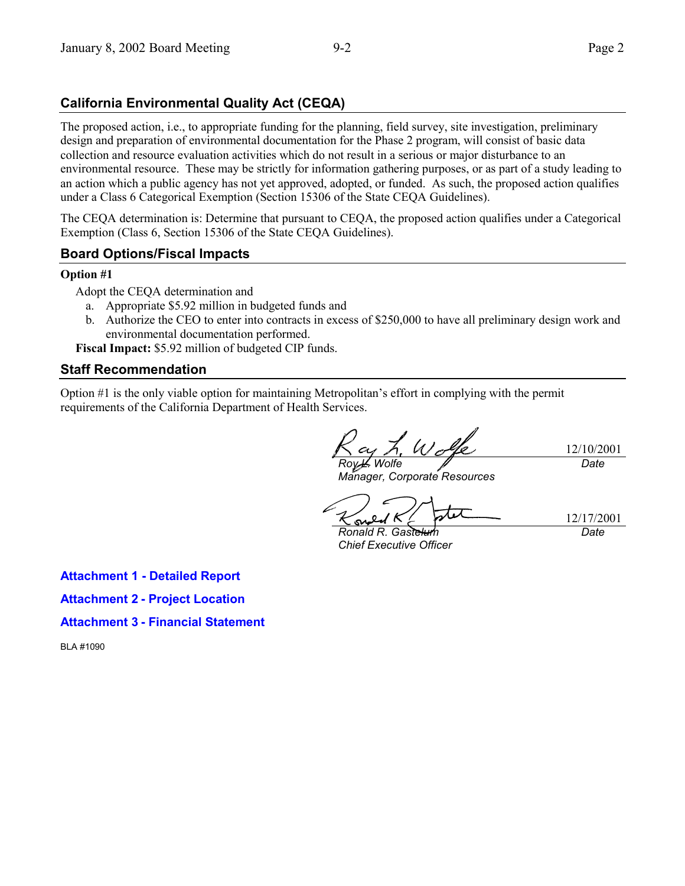# **California Environmental Quality Act (CEQA)**

The proposed action, i.e., to appropriate funding for the planning, field survey, site investigation, preliminary design and preparation of environmental documentation for the Phase 2 program, will consist of basic data collection and resource evaluation activities which do not result in a serious or major disturbance to an environmental resource. These may be strictly for information gathering purposes, or as part of a study leading to an action which a public agency has not yet approved, adopted, or funded. As such, the proposed action qualifies under a Class 6 Categorical Exemption (Section 15306 of the State CEQA Guidelines).

The CEQA determination is: Determine that pursuant to CEQA, the proposed action qualifies under a Categorical Exemption (Class 6, Section 15306 of the State CEQA Guidelines).

### **Board Options/Fiscal Impacts**

#### **Option #1**

Adopt the CEQA determination and

- a. Appropriate \$5.92 million in budgeted funds and
- b. Authorize the CEO to enter into contracts in excess of \$250,000 to have all preliminary design work and environmental documentation performed.

**Fiscal Impact:** \$5.92 million of budgeted CIP funds.

#### **Staff Recommendation**

Option #1 is the only viable option for maintaining Metropolitanís effort in complying with the permit requirements of the California Department of Health Services.

12/10/2001 *Roy L. Wolfe Date*

*Manager, Corporate Resources*

*Ronald R. Gastelum Chief Executive Officer*

12/17/2001 *Date*

**Attachment 1 - Detailed Report**

**Attachment 2 - Project Location**

**Attachment 3 - Financial Statement**

BLA #1090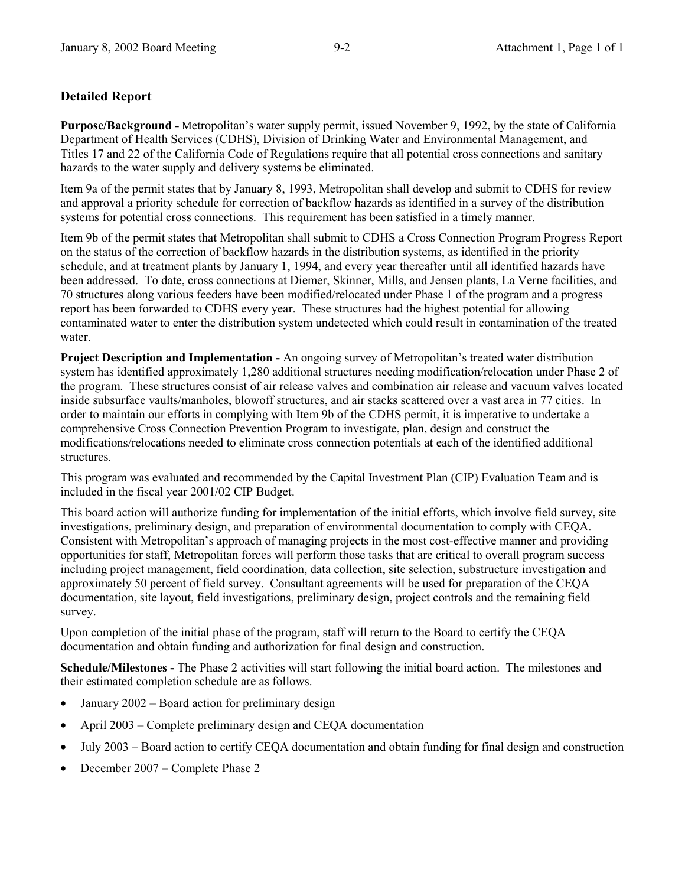### **Detailed Report**

**Purpose/Background -** Metropolitan's water supply permit, issued November 9, 1992, by the state of California Department of Health Services (CDHS), Division of Drinking Water and Environmental Management, and Titles 17 and 22 of the California Code of Regulations require that all potential cross connections and sanitary hazards to the water supply and delivery systems be eliminated.

Item 9a of the permit states that by January 8, 1993, Metropolitan shall develop and submit to CDHS for review and approval a priority schedule for correction of backflow hazards as identified in a survey of the distribution systems for potential cross connections. This requirement has been satisfied in a timely manner.

Item 9b of the permit states that Metropolitan shall submit to CDHS a Cross Connection Program Progress Report on the status of the correction of backflow hazards in the distribution systems, as identified in the priority schedule, and at treatment plants by January 1, 1994, and every year thereafter until all identified hazards have been addressed. To date, cross connections at Diemer, Skinner, Mills, and Jensen plants, La Verne facilities, and 70 structures along various feeders have been modified/relocated under Phase 1 of the program and a progress report has been forwarded to CDHS every year. These structures had the highest potential for allowing contaminated water to enter the distribution system undetected which could result in contamination of the treated water.

**Project Description and Implementation - An ongoing survey of Metropolitan's treated water distribution** system has identified approximately 1,280 additional structures needing modification/relocation under Phase 2 of the program. These structures consist of air release valves and combination air release and vacuum valves located inside subsurface vaults/manholes, blowoff structures, and air stacks scattered over a vast area in 77 cities. In order to maintain our efforts in complying with Item 9b of the CDHS permit, it is imperative to undertake a comprehensive Cross Connection Prevention Program to investigate, plan, design and construct the modifications/relocations needed to eliminate cross connection potentials at each of the identified additional structures.

This program was evaluated and recommended by the Capital Investment Plan (CIP) Evaluation Team and is included in the fiscal year 2001/02 CIP Budget.

This board action will authorize funding for implementation of the initial efforts, which involve field survey, site investigations, preliminary design, and preparation of environmental documentation to comply with CEQA. Consistent with Metropolitanís approach of managing projects in the most cost-effective manner and providing opportunities for staff, Metropolitan forces will perform those tasks that are critical to overall program success including project management, field coordination, data collection, site selection, substructure investigation and approximately 50 percent of field survey. Consultant agreements will be used for preparation of the CEQA documentation, site layout, field investigations, preliminary design, project controls and the remaining field survey.

Upon completion of the initial phase of the program, staff will return to the Board to certify the CEQA documentation and obtain funding and authorization for final design and construction.

**Schedule/Milestones -** The Phase 2 activities will start following the initial board action. The milestones and their estimated completion schedule are as follows.

- January  $2002$  Board action for preliminary design
- April 2003 Complete preliminary design and CEQA documentation
- July 2003 Board action to certify CEQA documentation and obtain funding for final design and construction
- December 2007 Complete Phase 2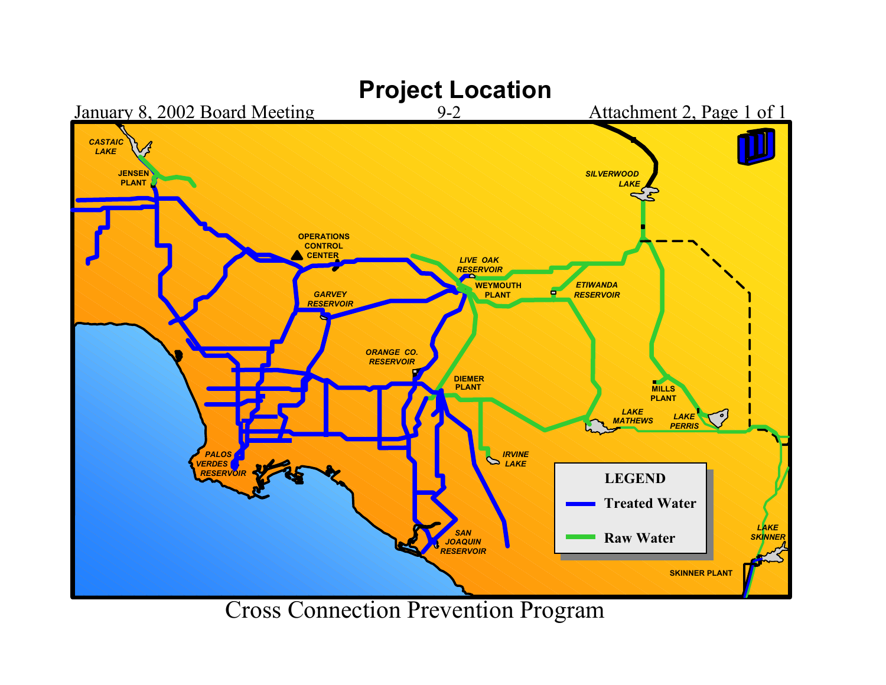

Cross Connection Prevention Program